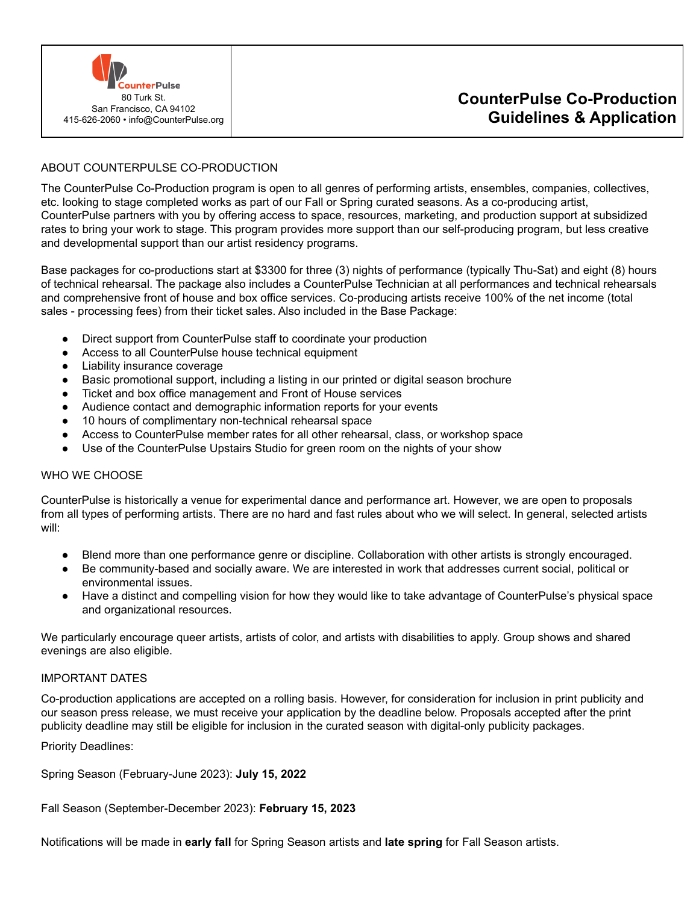

### ABOUT COUNTERPULSE CO-PRODUCTION

The CounterPulse Co-Production program is open to all genres of performing artists, ensembles, companies, collectives, etc. looking to stage completed works as part of our Fall or Spring curated seasons. As a co-producing artist, CounterPulse partners with you by offering access to space, resources, marketing, and production support at subsidized rates to bring your work to stage. This program provides more support than our self-producing program, but less creative and developmental support than our artist residency programs.

Base packages for co-productions start at \$3300 for three (3) nights of performance (typically Thu-Sat) and eight (8) hours of technical rehearsal. The package also includes a CounterPulse Technician at all performances and technical rehearsals and comprehensive front of house and box office services. Co-producing artists receive 100% of the net income (total sales - processing fees) from their ticket sales. Also included in the Base Package:

- Direct support from CounterPulse staff to coordinate your production
- Access to all CounterPulse house technical equipment
- Liability insurance coverage
- Basic promotional support, including a listing in our printed or digital season brochure
- Ticket and box office management and Front of House services
- Audience contact and demographic information reports for your events
- 10 hours of complimentary non-technical rehearsal space
- Access to CounterPulse member rates for all other rehearsal, class, or workshop space
- Use of the CounterPulse Upstairs Studio for green room on the nights of your show

#### WHO WE CHOOSE

CounterPulse is historically a venue for experimental dance and performance art. However, we are open to proposals from all types of performing artists. There are no hard and fast rules about who we will select. In general, selected artists will:

- Blend more than one performance genre or discipline. Collaboration with other artists is strongly encouraged.
- Be community-based and socially aware. We are interested in work that addresses current social, political or environmental issues.
- Have a distinct and compelling vision for how they would like to take advantage of CounterPulse's physical space and organizational resources.

We particularly encourage queer artists, artists of color, and artists with disabilities to apply. Group shows and shared evenings are also eligible.

### IMPORTANT DATES

Co-production applications are accepted on a rolling basis. However, for consideration for inclusion in print publicity and our season press release, we must receive your application by the deadline below. Proposals accepted after the print publicity deadline may still be eligible for inclusion in the curated season with digital-only publicity packages.

Priority Deadlines:

Spring Season (February-June 2023): **July 15, 2022**

Fall Season (September-December 2023): **February 15, 2023**

Notifications will be made in **early fall** for Spring Season artists and **late spring** for Fall Season artists.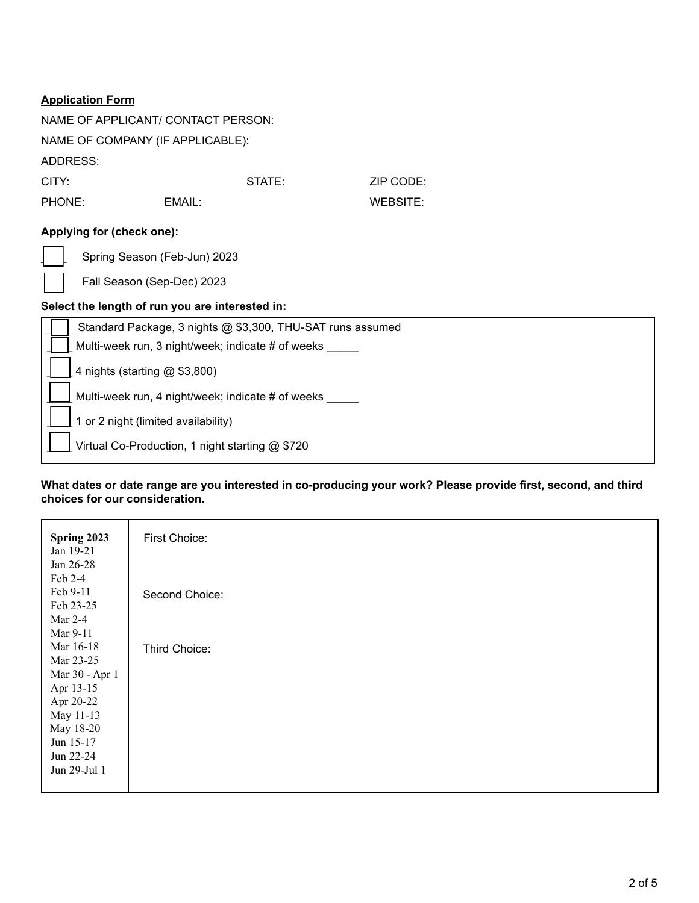| NAME OF APPLICANT/ CONTACT PERSON:                         |                                                 |                 |  |  |  |  |
|------------------------------------------------------------|-------------------------------------------------|-----------------|--|--|--|--|
| NAME OF COMPANY (IF APPLICABLE):                           |                                                 |                 |  |  |  |  |
| ADDRESS:                                                   |                                                 |                 |  |  |  |  |
| CITY:                                                      | STATE:                                          | ZIP CODE:       |  |  |  |  |
| PHONE:                                                     | EMAIL:                                          | <b>WEBSITE:</b> |  |  |  |  |
| Applying for (check one):                                  |                                                 |                 |  |  |  |  |
|                                                            | Spring Season (Feb-Jun) 2023                    |                 |  |  |  |  |
|                                                            | Fall Season (Sep-Dec) 2023                      |                 |  |  |  |  |
| Select the length of run you are interested in:            |                                                 |                 |  |  |  |  |
| Standard Package, 3 nights @ \$3,300, THU-SAT runs assumed |                                                 |                 |  |  |  |  |
| Multi-week run, 3 night/week; indicate # of weeks          |                                                 |                 |  |  |  |  |
| 4 nights (starting @ \$3,800)                              |                                                 |                 |  |  |  |  |
| Multi-week run, 4 night/week; indicate # of weeks          |                                                 |                 |  |  |  |  |
|                                                            | 1 or 2 night (limited availability)             |                 |  |  |  |  |
|                                                            | Virtual Co-Production, 1 night starting @ \$720 |                 |  |  |  |  |

## **What dates or date range are you interested in co-producing your work? Please provide first, second, and third choices for our consideration.**

| Spring 2023    | First Choice:  |
|----------------|----------------|
| Jan 19-21      |                |
| Jan 26-28      |                |
| Feb 2-4        |                |
| Feb 9-11       | Second Choice: |
| Feb 23-25      |                |
| Mar 2-4        |                |
| Mar 9-11       |                |
| Mar 16-18      | Third Choice:  |
| Mar 23-25      |                |
| Mar 30 - Apr 1 |                |
| Apr 13-15      |                |
| Apr 20-22      |                |
| May 11-13      |                |
| May 18-20      |                |
| Jun 15-17      |                |
| Jun 22-24      |                |
| Jun 29-Jul 1   |                |
|                |                |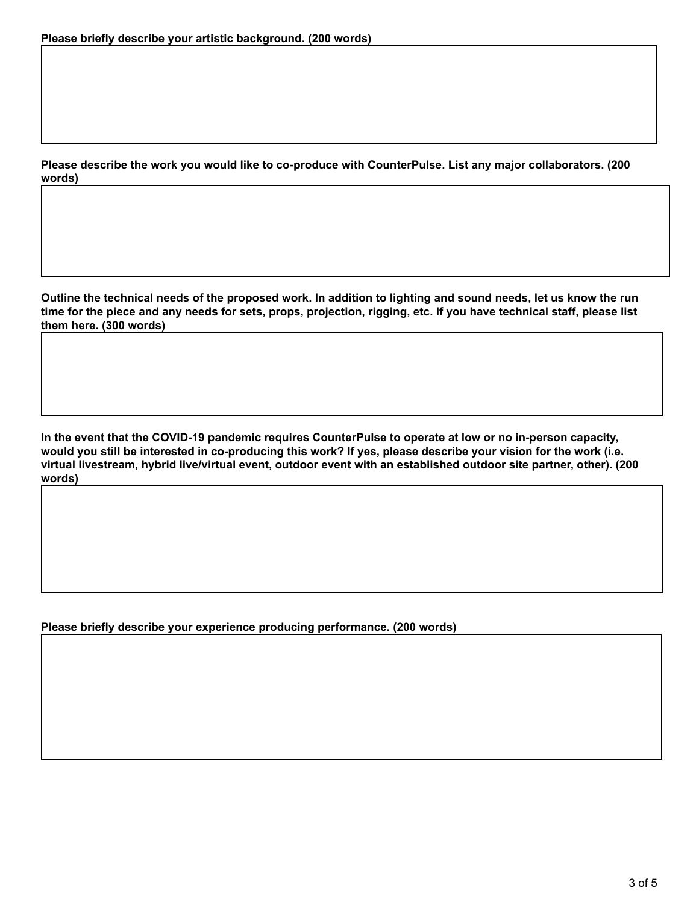**Please describe the work you would like to co-produce with CounterPulse. List any major collaborators. (200 words)**

**Outline the technical needs of the proposed work. In addition to lighting and sound needs, let us know the run time for the piece and any needs for sets, props, projection, rigging, etc. If you have technical staff, please list them here. (300 words)**

**In the event that the COVID-19 pandemic requires CounterPulse to operate at low or no in-person capacity, would you still be interested in co-producing this work? If yes, please describe your vision for the work (i.e. virtual livestream, hybrid live/virtual event, outdoor event with an established outdoor site partner, other). (200 words)**

**Please briefly describe your experience producing performance. (200 words)**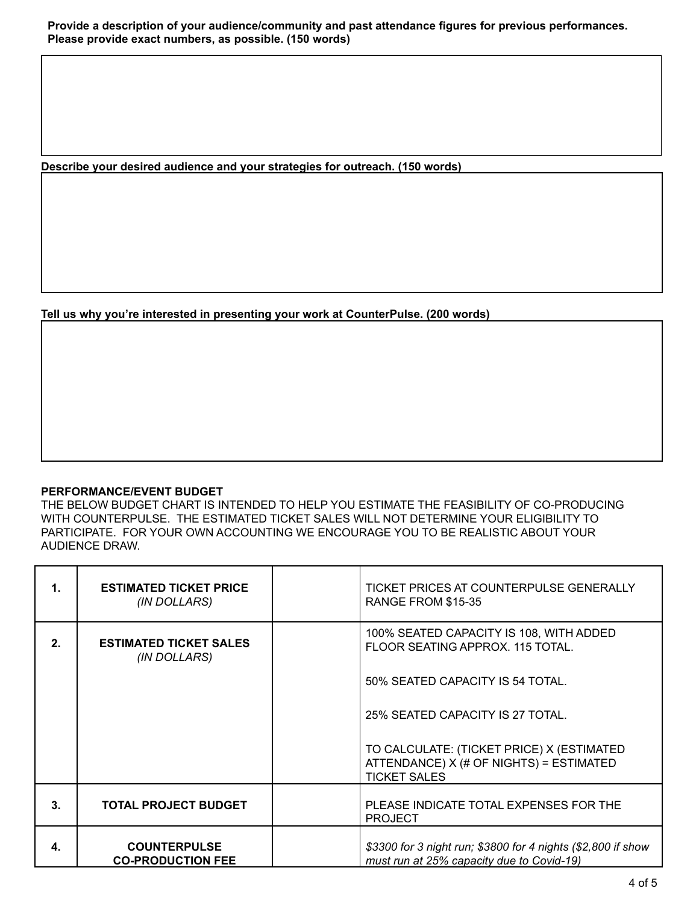**Describe your desired audience and your strategies for outreach. (150 words)**

**Tell us why you're interested in presenting your work at CounterPulse. (200 words)**

### **PERFORMANCE/EVENT BUDGET**

THE BELOW BUDGET CHART IS INTENDED TO HELP YOU ESTIMATE THE FEASIBILITY OF CO-PRODUCING WITH COUNTERPULSE. THE ESTIMATED TICKET SALES WILL NOT DETERMINE YOUR ELIGIBILITY TO PARTICIPATE. FOR YOUR OWN ACCOUNTING WE ENCOURAGE YOU TO BE REALISTIC ABOUT YOUR AUDIENCE DRAW.

| $\mathbf 1$ .  | <b>ESTIMATED TICKET PRICE</b><br>(IN DOLLARS)   | TICKET PRICES AT COUNTERPULSE GENERALLY<br><b>RANGE FROM \$15-35</b>                                        |
|----------------|-------------------------------------------------|-------------------------------------------------------------------------------------------------------------|
| 2.             | <b>ESTIMATED TICKET SALES</b><br>(IN DOLLARS)   | 100% SEATED CAPACITY IS 108, WITH ADDED<br>FLOOR SEATING APPROX, 115 TOTAL.                                 |
|                |                                                 | 50% SEATED CAPACITY IS 54 TOTAL.                                                                            |
|                |                                                 | 25% SEATED CAPACITY IS 27 TOTAL.                                                                            |
|                |                                                 | TO CALCULATE: (TICKET PRICE) X (ESTIMATED<br>ATTENDANCE) X (# OF NIGHTS) = ESTIMATED<br><b>TICKET SALES</b> |
| 3 <sub>1</sub> | <b>TOTAL PROJECT BUDGET</b>                     | PLEASE INDICATE TOTAL EXPENSES FOR THE<br><b>PROJECT</b>                                                    |
| 4.             | <b>COUNTERPULSE</b><br><b>CO-PRODUCTION FEE</b> | \$3300 for 3 night run; \$3800 for 4 nights (\$2,800 if show<br>must run at 25% capacity due to Covid-19)   |